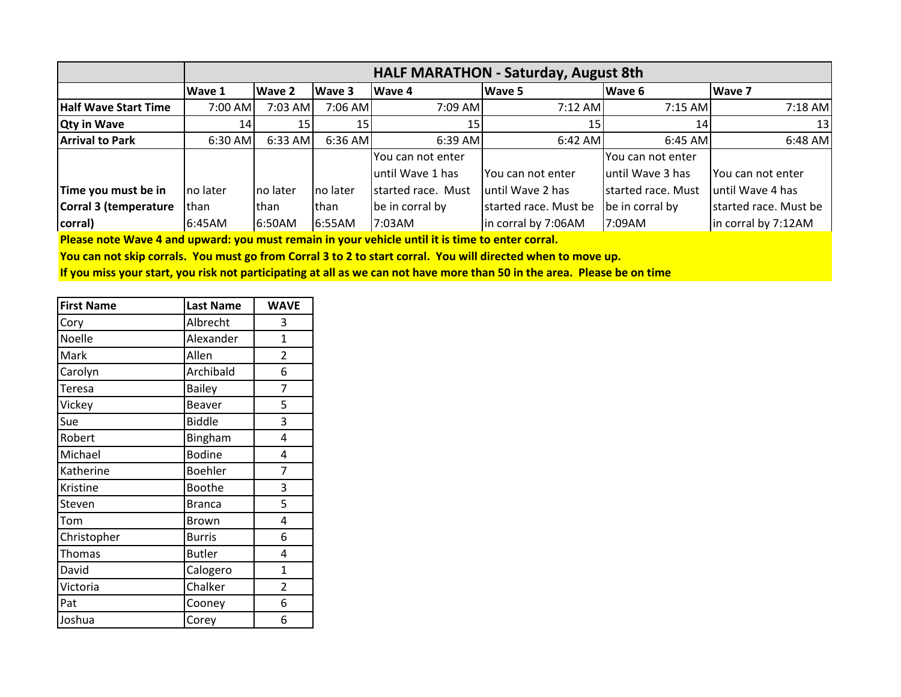|                             | <b>HALF MARATHON - Saturday, August 8th</b> |                 |           |                    |                       |                    |                       |
|-----------------------------|---------------------------------------------|-----------------|-----------|--------------------|-----------------------|--------------------|-----------------------|
|                             | <b>Wave 1</b>                               | Wave 2          | Wave 3    | Wave 4             | <b>Wave 5</b>         | Wave 6             | <b>Wave 7</b>         |
| <b>Half Wave Start Time</b> | 7:00 AM                                     | 7:03 AM         | 7:06 AM   | 7:09 AM            | $7:12$ AM             | $7:15$ AM          | $7:18$ AM             |
| <b>Qty in Wave</b>          | 14                                          | 15 <sub>l</sub> | 15        | 15                 | 15 <sub>l</sub>       | 14                 | 13                    |
| <b>Arrival to Park</b>      | 6:30 AM                                     | 6:33 AM         | 6:36 AM   | $6:39$ AM          | $6:42$ AM             | $6:45$ AM          | $6:48$ AM             |
|                             |                                             |                 |           | You can not enter  |                       | lYou can not enter |                       |
|                             |                                             |                 |           | until Wave 1 has   | IYou can not enter    | Juntil Wave 3 has  | IYou can not enter    |
| Time you must be in         | Ino later                                   | no later        | Ino later | started race. Must | luntil Wave 2 has     | started race. Must | luntil Wave 4 has     |
| Corral 3 (temperature       | Ithan                                       | lthan           | than      | be in corral by    | started race. Must be | be in corral by    | started race. Must be |
| corral)                     | 6:45AM                                      | 6:50AM          | 6:55AM    | 7:03AM             | in corral by 7:06AM   | 7:09AM             | in corral by 7:12AM   |

**Please note Wave 4 and upward: you must remain in your vehicle until it is time to enter corral.** 

**You can not skip corrals. You must go from Corral 3 to 2 to start corral. You will directed when to move up.**

**If you miss your start, you risk not participating at all as we can not have more than 50 in the area. Please be on time**

| <b>First Name</b> | <b>Last Name</b> | <b>WAVE</b>    |
|-------------------|------------------|----------------|
| Cory              | Albrecht         | 3              |
| Noelle            | Alexander        | 1              |
| Mark              | Allen            | $\overline{2}$ |
| Carolyn           | Archibald        | 6              |
| Teresa            | <b>Bailey</b>    | 7              |
| Vickey            | Beaver           | 5              |
| Sue               | <b>Biddle</b>    | 3              |
| Robert            | Bingham          | 4              |
| Michael           | <b>Bodine</b>    | 4              |
| Katherine         | <b>Boehler</b>   | 7              |
| Kristine          | <b>Boothe</b>    | 3              |
| Steven            | <b>Branca</b>    | 5              |
| Tom               | <b>Brown</b>     | 4              |
| Christopher       | <b>Burris</b>    | 6              |
| Thomas            | <b>Butler</b>    | 4              |
| David             | Calogero         | $\mathbf 1$    |
| Victoria          | Chalker          | $\overline{2}$ |
| Pat               | Cooney           | 6              |
| Joshua            | Corey            | 6              |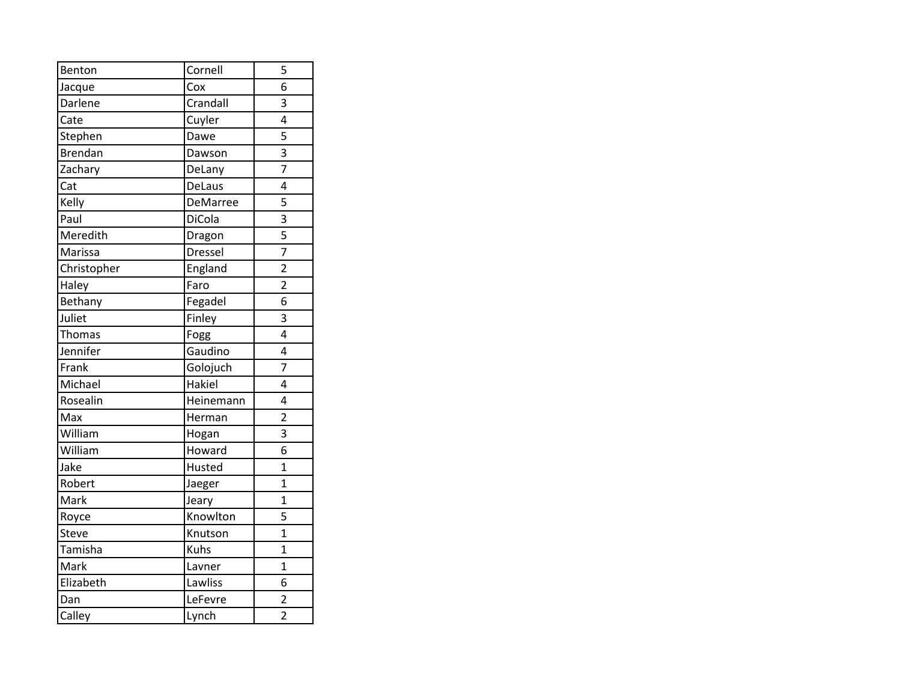| Benton         | Cornell   | 5              |
|----------------|-----------|----------------|
| Jacque         | Cox       | 6              |
| Darlene        | Crandall  | 3              |
| Cate           | Cuyler    | 4              |
| Stephen        | Dawe      | 5              |
| <b>Brendan</b> | Dawson    | 3              |
| Zachary        | DeLany    | 7              |
| Cat            | DeLaus    | 4              |
| Kelly          | DeMarree  | 5              |
| Paul           | DiCola    | 3              |
| Meredith       | Dragon    | 5              |
| Marissa        | Dressel   | 7              |
| Christopher    | England   | $\overline{2}$ |
| Haley          | Faro      | $\overline{2}$ |
| Bethany        | Fegadel   | 6              |
| Juliet         | Finley    | 3              |
| Thomas         | Fogg      | 4              |
| Jennifer       | Gaudino   | 4              |
| Frank          | Golojuch  | $\overline{7}$ |
| Michael        | Hakiel    | 4              |
| Rosealin       | Heinemann | 4              |
| Max            | Herman    | $\overline{2}$ |
| William        | Hogan     | 3              |
| William        | Howard    | 6              |
| Jake           | Husted    | $\overline{1}$ |
| Robert         | Jaeger    | $\overline{1}$ |
| Mark           | Jeary     | $\overline{1}$ |
| Royce          | Knowlton  | 5              |
| Steve          | Knutson   | $\overline{1}$ |
| Tamisha        | Kuhs      | $\overline{1}$ |
| Mark           | Lavner    | $\mathbf 1$    |
| Elizabeth      | Lawliss   | 6              |
| Dan            | LeFevre   | $\overline{2}$ |
| Calley         | Lynch     | $\overline{2}$ |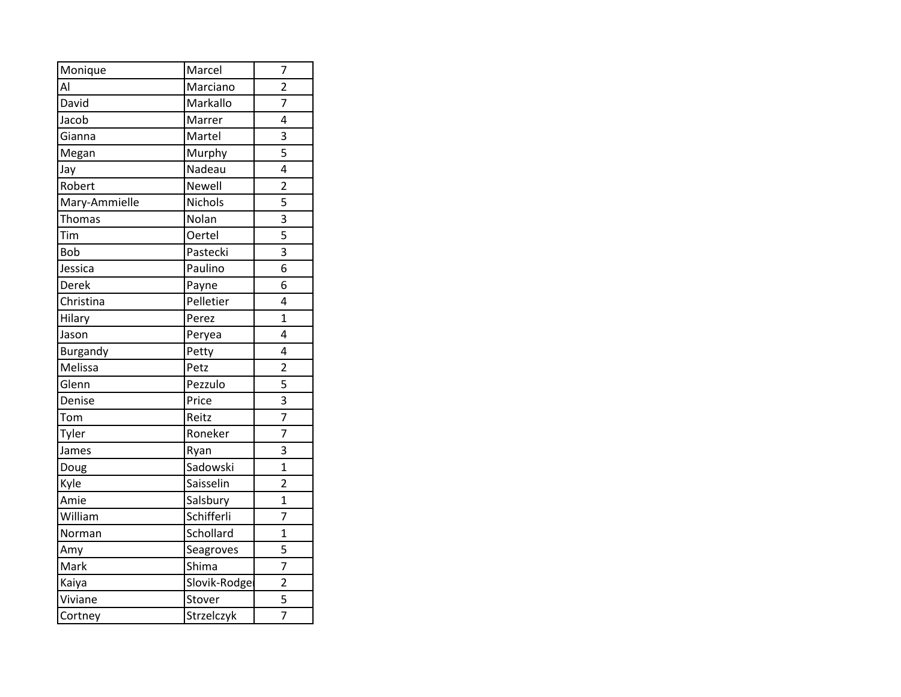| Monique       | Marcel        | 7              |
|---------------|---------------|----------------|
| Al            | Marciano      | $\overline{2}$ |
| David         | Markallo      | 7              |
| Jacob         | Marrer        | 4              |
| Gianna        | Martel        | 3              |
| Megan         | Murphy        | 5              |
| Jay           | Nadeau        | 4              |
| Robert        | Newell        | $\overline{2}$ |
| Mary-Ammielle | Nichols       | 5              |
| Thomas        | Nolan         | 3              |
| Tim           | <b>Oertel</b> | 5              |
| <b>Bob</b>    | Pastecki      | 3              |
| Jessica       | Paulino       | 6              |
| Derek         | Payne         | 6              |
| Christina     | Pelletier     | 4              |
| Hilary        | Perez         | $\overline{1}$ |
| Jason         | Peryea        | 4              |
| Burgandy      | Petty         | 4              |
| Melissa       | Petz          | $\overline{2}$ |
| Glenn         | Pezzulo       | $\overline{5}$ |
| Denise        | Price         | 3              |
| Tom           | Reitz         | 7              |
| Tyler         | Roneker       | $\overline{7}$ |
| James         | Ryan          | 3              |
| Doug          | Sadowski      | $\overline{1}$ |
| Kyle          | Saisselin     | $\overline{2}$ |
| Amie          | Salsbury      | $\overline{1}$ |
| William       | Schifferli    | 7              |
| Norman        | Schollard     | $\overline{1}$ |
| Amy           | Seagroves     | 5              |
| Mark          | Shima         | $\overline{7}$ |
| Kaiya         | Slovik-Rodge  | $\overline{2}$ |
| Viviane       | Stover        | 5              |
| Cortney       | Strzelczyk    | $\overline{7}$ |